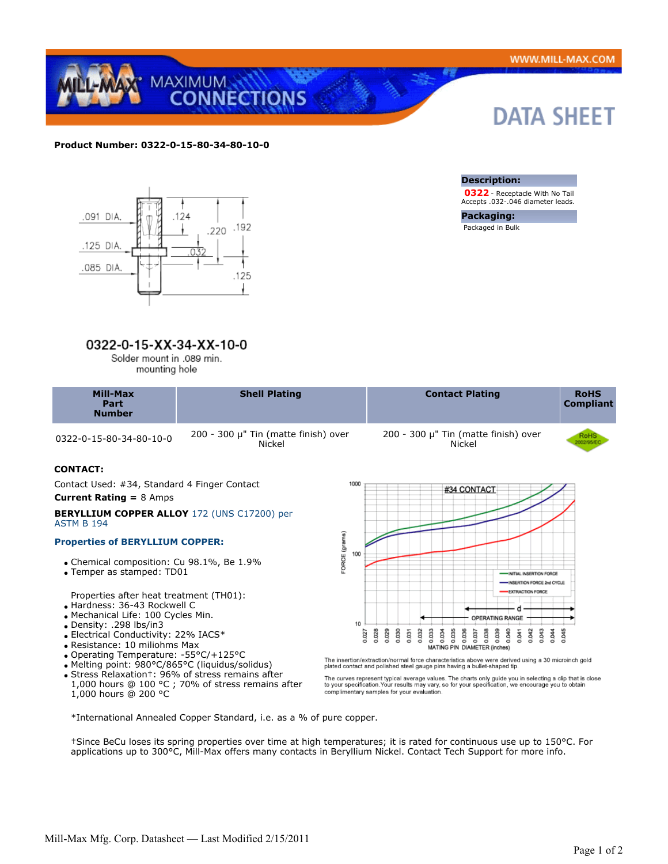

# **Product Number: 0322-0-15-80-34-80-10-0**



# 0322-0-15-XX-34-XX-10-0

Solder mount in .089 min. mounting hole

| Mill-Max<br>Part<br><b>Number</b> | <b>Shell Plating</b>                 | <b>Contact Plating</b>                    | <b>RoHS</b><br><b>Compliant</b> |
|-----------------------------------|--------------------------------------|-------------------------------------------|---------------------------------|
| ח חו חם גר חם או ח ררכה           | 200 - 300 µ" Tin (matte finish) over | $200 - 300 \mu$ " Tin (matte finish) over |                                 |

Nickel

0322-0-15-80-34-80-10-0 200 - 300 μ" Tin (matte finish) over

# **CONTACT:**

 Contact Used: #34, Standard 4 Finger Contact **Current Rating =** 8 Amps

#### **BERYLLIUM COPPER ALLOY** 172 (UNS C17200) per ASTM B 194

## **Properties of BERYLLIUM COPPER:**

- Chemical composition: Cu 98.1%, Be 1.9%
- Temper as stamped: TD01

Properties after heat treatment (TH01):

- Hardness: 36-43 Rockwell C
- Mechanical Life: 100 Cycles Min.
- Density: .298 lbs/in3
- Electrical Conductivity: 22% IACS\*
- Resistance: 10 miliohms Max
- Operating Temperature: -55°C/+125°C
- Melting point: 980°C/865°C (liquidus/solidus)
- Stress Relaxation†: 96% of stress remains after 1,000 hours @ 100 °C ; 70% of stress remains after 1,000 hours @ 200 °C



Nickel

The insertion/extraction/normal force characteristics above were derived using a 30 microinch gold plated contact and polished steel gauge pins having a bullet-shaped tip.

The curves represent typical average values. The charts only guide you in selecting a clip that is close<br>to your specification.Your results may vary, so for your specification, we encourage you to obtain<br>complimentary samp

\*International Annealed Copper Standard, i.e. as a % of pure copper.

†Since BeCu loses its spring properties over time at high temperatures; it is rated for continuous use up to 150°C. For applications up to 300°C, Mill-Max offers many contacts in Beryllium Nickel. Contact Tech Support for more info.



 **0322** - Receptacle With No Tail Accepts .032-.046 diameter leads.

**Packaging:** Packaged in Bulk